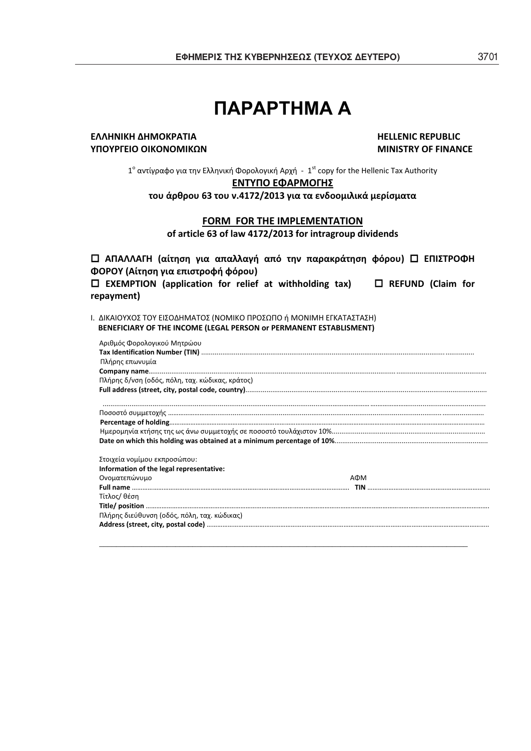# **ȆǹȇǹȇȉǾȂǹ ǹ**

## **ȵȿȿȸɁȻȾȸȴȸɀɃȾɆȰɈȻȰ HELLENIC REPUBLIC ɉɅɃɉɆȳȵȻɃɃȻȾɃɁɃɀȻȾɏɁ MINISTRY OF FINANCE**

1° αντίγραφο για την Ελληνική Φορολογική Αρχή - 1<sup>st</sup> copy for the Hellenic Tax Authority

## **ENTYΠΟ ΕΦΑΡΜΟΓΗΣ**

**του άρθρου 63 του ν.4172/2013 για τα ενδοομιλικά μερίσματα** 

## **FORMFOR THE IMPLEMENTATION**

**of article 63 of law 4172/2013 for intragroup dividends**

| □ ΑΠΑΛΛΑΓΗ (αίτηση για απαλλαγή από την παρακράτηση φόρου) □ ΕΠΙΣΤΡΟΦΗ |                          |
|------------------------------------------------------------------------|--------------------------|
| ΦΟΡΟΥ (Αίτηση για επιστροφή φόρου)                                     |                          |
| $\Box$ EXEMPTION (application for relief at withholding tax)           | $\Box$ REFUND (Claim for |
| repayment)                                                             |                          |

Ι. ΔΙΚΑΙΟΥΧΟΣ ΤΟΥ ΕΙΣΟΔΗΜΑΤΟΣ (ΝΟΜΙΚΟ ΠΡΟΣΩΠΟ ή ΜΟΝΙΜΗ ΕΓΚΑΤΑΣΤΑΣΗ) **BENEFICIARY OF THE INCOME (LEGAL PERSON or PERMANENT ESTABLISMENT)**

| Αριθμός Φορολογικού Μητρώου                     |     |
|-------------------------------------------------|-----|
|                                                 |     |
| Πλήρης επωνυμία                                 |     |
|                                                 |     |
| Πλήρης δ/νση (οδός, πόλη, ταχ. κώδικας, κράτος) |     |
|                                                 |     |
|                                                 |     |
|                                                 |     |
|                                                 |     |
|                                                 |     |
| Στοιχεία νομίμου εκπροσώπου:                    |     |
| Information of the legal representative:        |     |
| Ονοματεπώνυμο                                   | AOM |
|                                                 |     |
| Τίτλος/ θέση                                    |     |
|                                                 |     |
| Πλήρης διεύθυνση (οδός, πόλη, ταχ. κώδικας)     |     |
|                                                 |     |
|                                                 |     |

*\_\_\_\_\_\_\_\_\_\_\_\_\_\_\_\_\_\_\_\_\_\_\_\_\_\_\_\_\_\_\_\_\_\_\_\_\_\_\_\_\_\_\_\_\_\_\_\_\_\_\_\_\_\_\_\_\_\_\_\_\_\_\_\_\_\_\_\_\_\_\_\_\_\_\_\_\_\_\_\_\_\_\_\_\_\_\_*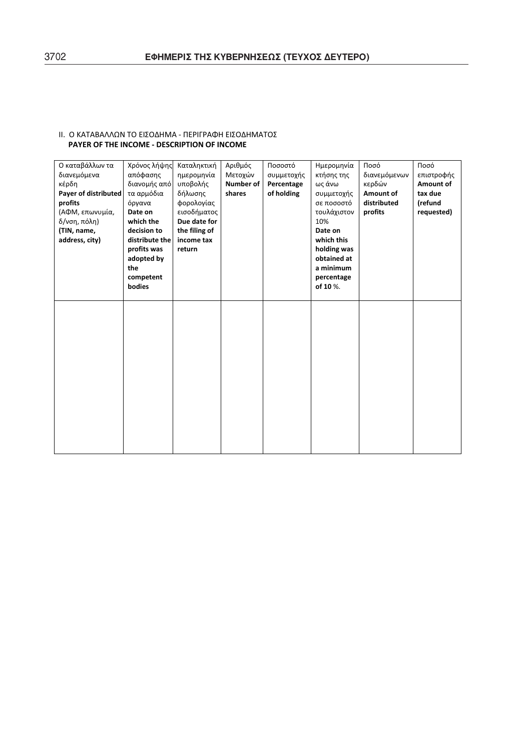| Ο καταβάλλων τα<br>διανεμόμενα<br>κέρδη<br>Payer of distributed<br>profits<br>(ΑΦΜ, επωνυμία,<br>δ/νση, πόλη)<br>(TIN, name,<br>address, city) | Χρόνος λήψης<br>απόφασης<br>διανομής από<br>τα αρμόδια<br>όργανα<br>Date on<br>which the<br>decision to<br>distribute the<br>profits was<br>adopted by<br>the<br>competent<br>bodies | Καταληκτική<br>ημερομηνία<br>υποβολής<br>δήλωσης<br>φορολογίας<br>εισοδήματος<br>Due date for<br>the filing of<br>income tax<br>return | Αριθμός<br>Μετοχών<br><b>Number of</b><br>shares | Ποσοστό<br>συμμετοχής<br>Percentage<br>of holding | Ημερομηνία<br>κτήσης της<br>ως άνω<br>συμμετοχής<br>σε ποσοστό<br>τουλάχιστον<br>10%<br>Date on<br>which this<br>holding was<br>obtained at<br>a minimum<br>percentage<br>of 10 %. | Ποσό<br>διανεμόμενων<br>κερδών<br>Amount of<br>distributed<br>profits | Ποσό<br>επιστροφής<br>Amount of<br>tax due<br>(refund<br>requested) |
|------------------------------------------------------------------------------------------------------------------------------------------------|--------------------------------------------------------------------------------------------------------------------------------------------------------------------------------------|----------------------------------------------------------------------------------------------------------------------------------------|--------------------------------------------------|---------------------------------------------------|------------------------------------------------------------------------------------------------------------------------------------------------------------------------------------|-----------------------------------------------------------------------|---------------------------------------------------------------------|
|                                                                                                                                                |                                                                                                                                                                                      |                                                                                                                                        |                                                  |                                                   |                                                                                                                                                                                    |                                                                       |                                                                     |

## ΙΙ. Ο ΚΑΤΑΒΑΛΛΩΝ ΤΟ ΕΙΣΟΔΗΜΑ - ΠΕΡΙΓΡΑΦΗ ΕΙΣΟΔΗΜΑΤΟΣ **PAYER OF THE INCOME** - DESCRIPTION OF INCOME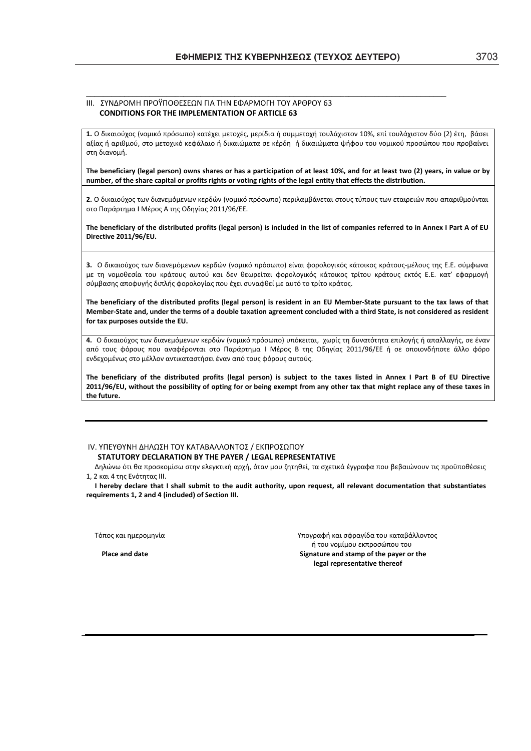*\_\_\_\_\_\_\_\_\_\_\_\_\_\_\_\_\_\_\_\_\_\_\_\_\_\_\_\_\_\_\_\_\_\_\_\_\_\_\_\_\_\_\_\_\_\_\_\_\_\_\_\_\_\_\_\_\_\_\_\_\_\_\_\_\_\_\_\_\_\_\_\_\_\_\_\_\_\_\_\_\_\_\_\_\_* 

#### III. ΣΥΝΛΡΟΜΗ ΠΡΟΫΠΟΘΕΣΕΟΝ ΓΙΑ ΤΗΝ ΕΦΑΡΜΟΓΗ ΤΟΥ ΑΡΘΡΟΥ 63 **CONDITIONS FOR THE IMPLEMENTATION OF ARTICLE 63**

1. Ο δικαιούχος (νομικό πρόσωπο) κατέχει μετοχές, μερίδια ή συμμετοχή τουλάχιστον 10%, επί τουλάχιστον δύο (2) έτη, βάσει αξίας ή αριθμού, στο μετοχικό κεφάλαιο ή δικαιώματα σε κέρδη ή δικαιώματα ψήφου του νομικού προσώπου που προβαίνει στη διανομή.

The beneficiary (legal person) owns shares or has a participation of at least 10%, and for at least two (2) years, in value or by number, of the share capital or profits rights or voting rights of the legal entity that effects the distribution.

**2.** Ο δικαιούχος των διανεμόμενων κερδών (νομικό πρόσωπο) περιλαμβάνεται στους τύπους των εταιρειών που απαριθμούνται στο Παράρτημα | Μέρος Α της Οδηγίας 2011/96/ΕΕ.

The beneficiary of the distributed profits (legal person) is included in the list of companies referred to in Annex I Part A of EU **Directive 2011/96/EU.**

3. Ο δικαιούχος των διανεμόμενων κερδών (νομικό πρόσωπο) είναι φορολογικός κάτοικος κράτους-μέλους της Ε.Ε. σύμφωνα με τη νομοθεσία του κράτους αυτού και δεν θεωρείται φορολογικός κάτοικος τρίτου κράτους εκτός Ε.Ε. κατ' εφαρμογή σύμβασης αποφυγής διπλής φορολογίας που έχει συναφθεί με αυτό το τρίτο κράτος.

The beneficiary of the distributed profits (legal person) is resident in an EU Member-State pursuant to the tax laws of that Member-State and, under the terms of a double taxation agreement concluded with a third State, is not considered as resident **for tax purposes outside the EU.**

4. Ο δικαιούχος των διανεμόμενων κερδών (νομικό πρόσωπο) υπόκειται, χωρίς τη δυνατότητα επιλογής ή απαλλαγής, σε έναν από τους φόρους που αναφέρονται στο Παράρτημα | Μέρος Β της Οδηγίας 2011/96/ΕΕ ή σε οποιονδήποτε άλλο φόρο ενδεχομένως στο μέλλον αντικαταστήσει έναν από τους φόρους αυτούς.

The beneficiary of the distributed profits (legal person) is subject to the taxes listed in Annex I Part B of EU Directive 2011/96/EU, without the possibility of opting for or being exempt from any other tax that might replace any of these taxes in **the future.**

## ΙV. ΥΠΕΥΘΥΝΗ ΔΗΛΩΣΗ ΤΟΥ ΚΑΤΑΒΑΛΛΟΝΤΟΣ / ΕΚΠΡΟΣΩΠΟΥ **STATUTORY DECLARATIONȲɉTHE PAYER / LEGAL REPRESENTATIVE**

Δηλώνω ότι θα προσκομίσω στην ελεγκτική αρχή, όταν μου ζητηθεί, τα σχετικά έγγραφα που βεβαιώνουν τις προϋποθέσεις 1, 2 και 4 της Ενότητας III.

I hereby declare that I shall submit to the audit authority, upon request, all relevant documentation that substantiates **requirements 1, 2 and 4 (included) of Section III.**

Τόπος και ημερομηνία στο του του του του του γιαφαριά γιαι σφραγίδα του καταβάλλοντος ή του νομίμου εκπροσώπου του φαιρείται του κάθε του κάθε του προσώπου του φαιρείται του φαιρείται του φαιρείτα<br>Signature and stamp of the paver or **Place and dateSignature and stamp of the payer or the legal representative thereof**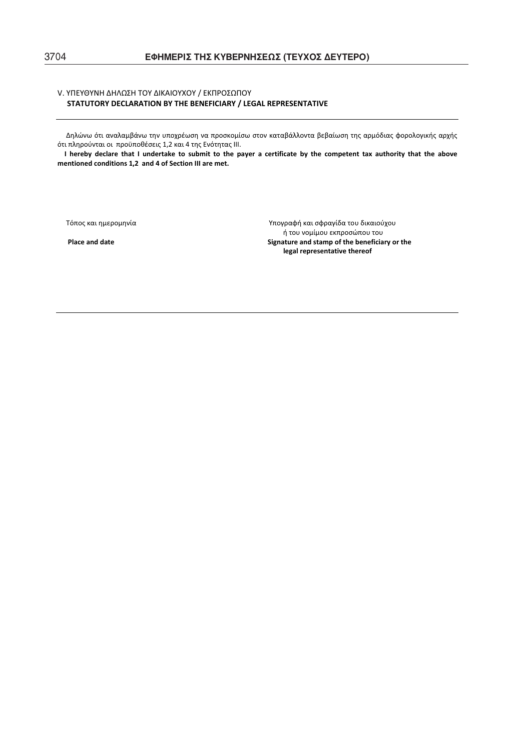## V. ΥΠΕΥΘΥΝΗ ΔΗΛΩΣΗ ΤΟΥ ΔΙΚΑΙΟΥΧΟΥ / ΕΚΠΡΟΣΩΠΟΥ **STATUTORY DECLARATIONȲɉTHE BENEFICIARY / LEGAL REPRESENTATIVE**

Δηλώνω ότι αναλαμβάνω την υποχρέωση να προσκομίσω στον καταβάλλοντα βεβαίωση της αρμόδιας φορολογικής αρχής ότι πληρούνται οι προϋποθέσεις 1,2 και 4 της Ενότητας ΙΙΙ.

I hereby declare that I undertake to submit to the payer a certificate by the competent tax authority that the above **mentioned conditions 1,2and 4 of Section III are met.**

Τόπος και ημερομηνία<br>
Υπογραφή και σφραγίδα του δικαιούχου ή του νομίμου εκπροσώπου του **Place** and date **and stamp** of the beneficiary or the **legal representative thereof**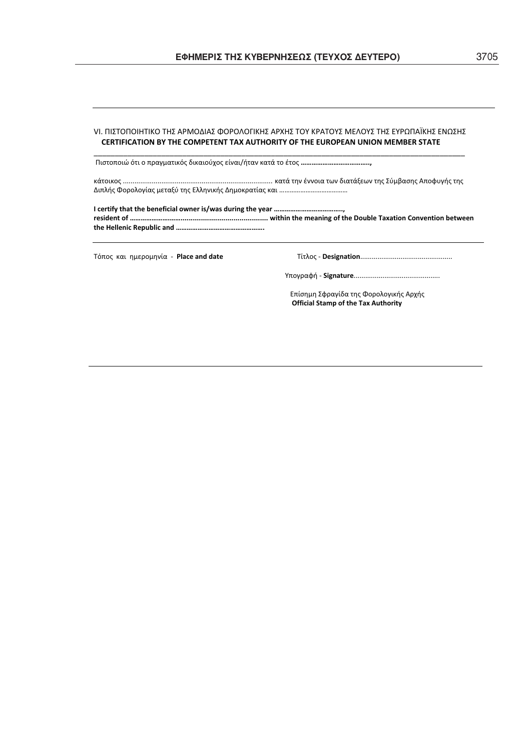## VI. ΠΙΣΤΟΠΟΙΗΤΙΚΟ ΤΗΣ ΑΡΜΟΔΙΑΣ ΦΟΡΟΛΟΓΙΚΗΣ ΑΡΧΗΣ ΤΟΥ ΚΡΑΤΟΥΣ ΜΕΛΟΥΣ ΤΗΣ ΕΥΡΩΠΑΪΚΗΣ ΕΝΩΣΗΣ **CERTIFICATION BY THE COMPETENT TAX AUTHORITY OF THE EUROPEAN UNION MEMBER STATE** \_\_\_\_\_\_\_\_\_\_\_\_\_\_\_\_\_\_\_\_\_\_\_\_\_\_\_\_\_\_\_\_\_\_\_\_\_\_\_\_\_\_\_\_\_\_\_\_\_\_\_\_\_\_\_\_\_\_\_\_\_\_\_\_\_\_\_\_\_\_\_\_\_\_\_\_\_\_\_\_\_\_\_\_\_\_\_\_

Πιστοποιώ ότι ο πραγματικός δικαιούχος είναι/ήταν κατά το έτος ……………………………………

ʃɳʏʉɿʃʉʎ..............................................................................ʃɲʏɳʏɻʆɹʆʆʉɿɲʏʘʆɷɿɲʏɳʇɸʘʆʏɻʎɇʑʅɴɲʍɻʎȰʋʉʔʐɶɼʎʏɻʎ ȴɿʋʄɼʎɌʉʌʉʄʉɶʀɲʎʅɸʏɲʇʑʏɻʎȵʄʄɻʆɿʃɼʎȴɻʅʉʃʌɲʏʀɲʎʃɲɿ…………………………………

**I certify that the beneficial owner is/was during the year ……………………………….., resident of ………………….……........................................... within the meaning of the Double Taxation Convention between the Hellenic Republic and ………………………………………….**

ɈʊʋʉʎʃɲɿɻʅɸʌʉʅɻʆʀɲͲ**Place and date**ɈʀʏʄʉʎͲ**Designation**................................................

ɉʋʉɶʌɲʔɼͲ**Signature**.............................................

Επίσημη Σφραγίδα της Φορολογικής Αρχής **Official Stamp of the Tax Authority**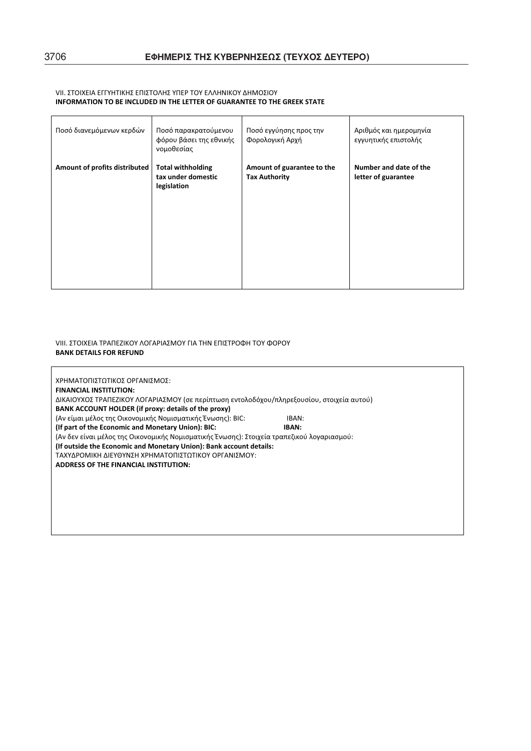### VII. ΣΤΟΙΧΕΙΑ ΕΓΓΥΗΤΙΚΗΣ ΕΠΙΣΤΟΛΗΣ ΥΠΕΡ ΤΟΥ ΕΛΛΗΝΙΚΟΥ ΔΗΜΟΣΙΟΥ **INFORMATION TO BE INCLUDED IN THE LETTER OF GUARANTEE TO THE GREEK STATE**

| Ποσό διανεμόμενων κερδών      | Ποσό παρακρατούμενου<br>φόρου βάσει της εθνικής<br>νομοθεσίας | Ποσό εγγύησης προς την<br>Φορολογική Αρχή          | Αριθμός και ημερομηνία<br>εγγυητικής επιστολής |
|-------------------------------|---------------------------------------------------------------|----------------------------------------------------|------------------------------------------------|
| Amount of profits distributed | <b>Total withholding</b><br>tax under domestic<br>legislation | Amount of guarantee to the<br><b>Tax Authority</b> | Number and date of the<br>letter of guarantee  |

VIII. ΣΤΟΙΧΕΙΑ ΤΡΑΠΕΖΙΚΟΥ ΛΟΓΑΡΙΑΣΜΟΥ ΓΙΑ ΤΗΝ ΕΠΙΣΤΡΟΦΗ ΤΟΥ ΦΟΡΟΥ **BANK DETAILS FOR REFUND**

| ΧΡΗΜΑΤΟΠΙΣΤΩΤΙΚΟΣ ΟΡΓΑΝΙΣΜΟΣ:                                                              |       |  |
|--------------------------------------------------------------------------------------------|-------|--|
| <b>FINANCIAL INSTITUTION:</b>                                                              |       |  |
| ΔΙΚΑΙΟΥΧΟΣ ΤΡΑΠΕΖΙΚΟΥ ΛΟΓΑΡΙΑΣΜΟΥ (σε περίπτωση εντολοδόχου/πληρεξουσίου, στοιχεία αυτού)  |       |  |
| BANK ACCOUNT HOLDER (if proxy: details of the proxy)                                       |       |  |
| (Αν είμαι μέλος της Οικονομικής Νομισματικής Ένωσης): ΒΙΟ:                                 | IBAN: |  |
| (If part of the Economic and Monetary Union): BIC:                                         | IBAN: |  |
| (Αν δεν είναι μέλος της Οικονομικής Νομισματικής Ένωσης): Στοιχεία τραπεζικού λογαριασμού: |       |  |
| (If outside the Economic and Monetary Union): Bank account details:                        |       |  |
| ΤΑΧΥΔΡΟΜΙΚΗ ΔΙΕΥΘΥΝΣΗ ΧΡΗΜΑΤΟΠΙΣΤΩΤΙΚΟΥ ΟΡΓΑΝΙΣΜΟΥ:                                        |       |  |
| <b>ADDRESS OF THE FINANCIAL INSTITUTION:</b>                                               |       |  |
|                                                                                            |       |  |
|                                                                                            |       |  |
|                                                                                            |       |  |
|                                                                                            |       |  |
|                                                                                            |       |  |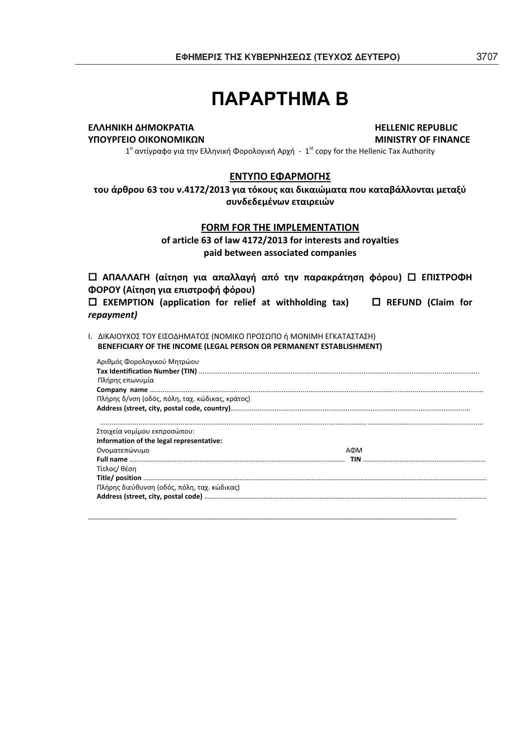## ПАРАРТНМА В

## **ȵȿȿȸɁȻȾȸȴȸɀɃȾɆȰɈȻȰ HELLENIC REPUBLIC**

**ɉɅɃɉɆȳȵȻɃɃȻȾɃɁɃɀȻȾɏɁ MINISTRY OF FINANCE**

 $1^\circ$  αντίγραφο για την Ελληνική Φορολογική Αρχή –  $1^\text{st}$  copy for the Hellenic Tax Authority

## **ENTYΠΟ ΕΦΑΡΜΟΓΗΣ**

του άρθρου 63 του ν.4172/2013 για τόκους και δικαιώματα που καταβάλλονται μεταξύ **ʍʐʆɷɸɷɸʅɹʆʘʆɸʏɲɿʌɸɿʙʆ**

## **FORM FOR THE IMPLEMENTATION**

**of article 63 of law 4172/2013 for interests and royalties paid between associated companies**

*Δ* **ΑΠΑΛΛΑΓΗ (αίτηση για απαλλαγή από την παρακράτηση φόρου) <sup>Δ</sup> ΕΠΙΣΤΡΟΦΗ ɌɃɆɃɉ(Ȱʀʏɻʍɻɶɿɲɸʋɿʍʏʌʉʔɼʔʊʌʉʐ)**

 **EXEMPTION (application for relief at withholding tax) REFUND (Claim for** *repayment)*

Ι. ΔΙΚΑΙΟΥΧΟΣ ΤΟΥ ΕΙΣΟΔΗΜΑΤΟΣ (ΝΟΜΙΚΟ ΠΡΟΣΩΠΟ ή ΜΟΝΙΜΗ ΕΓΚΑΤΑΣΤΑΣΗ) **BENEFICIARY OF THE INCOME (LEGAL PERSON OR PERMANENT ESTABLISHMENT)**

| Αριθμός Φορολογικού Μητρώου                     |      |
|-------------------------------------------------|------|
|                                                 |      |
| Πλήρης επωνυμία                                 |      |
|                                                 |      |
| Πλήρης δ/νση (οδός, πόλη, ταχ. κώδικας, κράτος) |      |
|                                                 |      |
|                                                 |      |
|                                                 |      |
| Στοιχεία νομίμου εκπροσώπου:                    |      |
| Information of the legal representative:        |      |
| Ονοματεπώνυμο                                   | A DM |
|                                                 |      |
| Τίτλος/ θέση                                    |      |
|                                                 |      |
| Πλήρης διεύθυνση (οδός, πόλη, ταχ. κώδικας)     |      |
|                                                 |      |

*\_\_\_\_\_\_\_\_\_\_\_\_\_\_\_\_\_\_\_\_\_\_\_\_\_\_\_\_\_\_\_\_\_\_\_\_\_\_\_\_\_\_\_\_\_\_\_\_\_\_\_\_\_\_\_\_\_\_\_\_\_\_\_\_\_\_\_\_\_\_\_\_\_\_\_\_\_\_\_\_\_\_\_\_\_\_\_*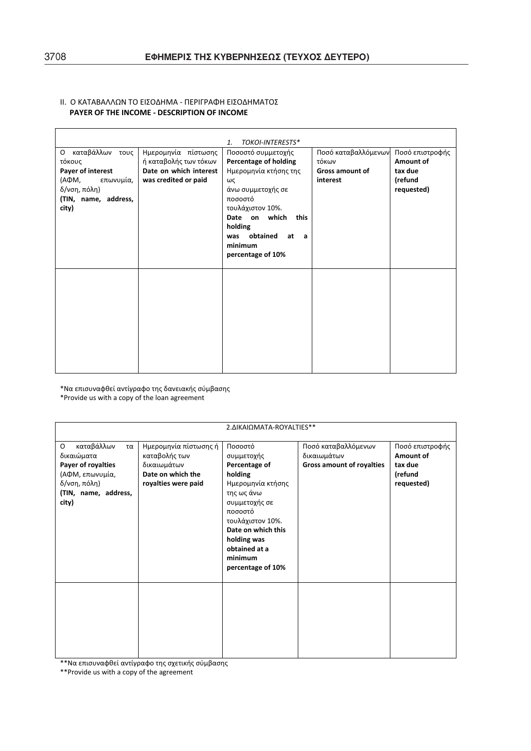## ΙΙ. Ο ΚΑΤΑΒΑΛΛΩΝ ΤΟ ΕΙΣΟΔΗΜΑ - ΠΕΡΙΓΡΑΦΗ ΕΙΣΟΔΗΜΑΤΟΣ **PAYER OF THE INCOME - DESCRIPTION OF INCOME**

|                                                                                                                         |                                                                                                | TOKOI-INTERESTS*<br>$\mathbf{1}$ .                                                                                                                                                                                                 |                                                                    |                                                                  |
|-------------------------------------------------------------------------------------------------------------------------|------------------------------------------------------------------------------------------------|------------------------------------------------------------------------------------------------------------------------------------------------------------------------------------------------------------------------------------|--------------------------------------------------------------------|------------------------------------------------------------------|
| Ο καταβάλλων τους<br>τόκους<br>Payer of interest<br>(АФМ,<br>επωνυμία,<br>δ/νση, πόλη)<br>(TIN, name, address,<br>city) | Ημερομηνία πίστωσης<br>ή καταβολής των τόκων<br>Date on which interest<br>was credited or paid | Ποσοστό συμμετοχής<br>Percentage of holding<br>Ημερομηνία κτήσης της<br>ως<br>άνω συμμετοχής σε<br>ποσοστό<br>τουλάχιστον 10%.<br>Date on which<br>this<br>holding<br>obtained<br>was<br>at<br>- a<br>minimum<br>percentage of 10% | Ποσό καταβαλλόμενων<br>τόκων<br><b>Gross amount of</b><br>interest | Ποσό επιστροφής<br>Amount of<br>tax due<br>(refund<br>requested) |
|                                                                                                                         |                                                                                                |                                                                                                                                                                                                                                    |                                                                    |                                                                  |

\*Ɂɲɸʋɿʍʐʆɲʔɽɸʀɲʆʏʀɶʌɲʔʉʏɻʎɷɲʆɸɿɲʃɼʎʍʑʅɴɲʍɻʎ

| *Provide us with a copy of the loan agreement                                                                                 |                                                                                                   |                                                                                                                                                                                                                            |                                                                        |                                                                  |
|-------------------------------------------------------------------------------------------------------------------------------|---------------------------------------------------------------------------------------------------|----------------------------------------------------------------------------------------------------------------------------------------------------------------------------------------------------------------------------|------------------------------------------------------------------------|------------------------------------------------------------------|
| 2. AIKAI OMATA-ROYALTIES**                                                                                                    |                                                                                                   |                                                                                                                                                                                                                            |                                                                        |                                                                  |
| καταβάλλων<br>0<br>τα<br>δικαιώματα<br>Payer of royalties<br>(ΑΦΜ, επωνυμία,<br>δ/νση, πόλη)<br>(TIN, name, address,<br>city) | Ημερομηνία πίστωσης ή<br>καταβολής των<br>δικαιωμάτων<br>Date on which the<br>royalties were paid | Ποσοστό<br>συμμετοχής<br>Percentage of<br>holding<br>Ημερομηνία κτήσης<br>της ως άνω<br>συμμετοχής σε<br>ποσοστό<br>τουλάχιστον 10%.<br>Date on which this<br>holding was<br>obtained at a<br>minimum<br>percentage of 10% | Ποσό καταβαλλόμενων<br>δικαιωμάτων<br><b>Gross amount of royalties</b> | Ποσό επιστροφής<br>Amount of<br>tax due<br>(refund<br>requested) |
|                                                                                                                               |                                                                                                   |                                                                                                                                                                                                                            |                                                                        |                                                                  |
| **Να επισυναφθεί αντίγραφο της σχετικής σύμβασης<br>** Provide us with a copy of the agreement                                |                                                                                                   |                                                                                                                                                                                                                            |                                                                        |                                                                  |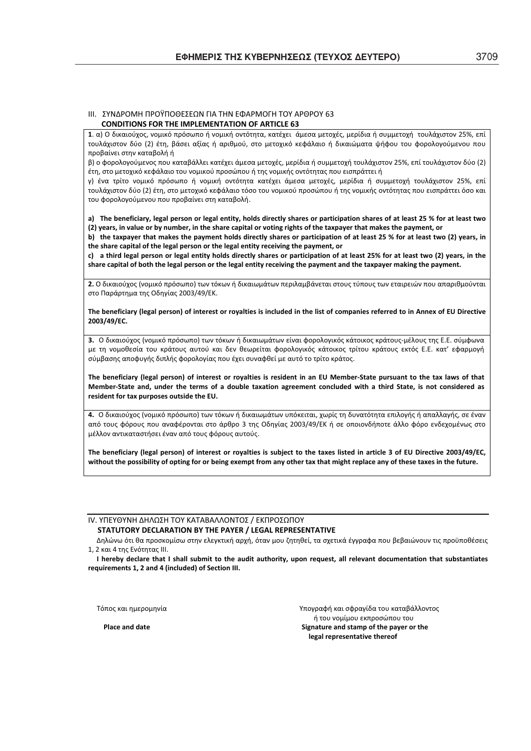#### III. ΣΥΝΛΡΟΜΗ ΠΡΟΫΠΟΘΕΣΕΟΝ ΓΙΑ ΤΗΝ ΕΦΑΡΜΟΓΗ ΤΟΥ ΑΡΘΡΟΥ 63 **CONDITIONS FOR THE IMPLEMENTATION OF ARTICLE 63**

**1. α) Ο δικαιούχος, νομικό πρόσωπο ή νομική οντότητα, κατέχει άμεσα μετοχές, μερίδια ή συμμετοχή τουλάχιστον 25%, επί** τουλάχιστον δύο (2) έτη, βάσει αξίας ή αριθμού, στο μετοχικό κεφάλαιο ή δικαιώματα ψήφου του φορολογούμενου που προβαίνει στην καταβολή ή

β) ο φορολογούμενος που καταβάλλει κατέχει άμεσα μετοχές, μερίδια ή συμμετοχή τουλάχιστον 25%, επί τουλάχιστον δύο (2) έτη, στο μετοχικό κεφάλαιο του νομικού προσώπου ή της νομικής οντότητας που εισπράττει ή

γ) ένα τρίτο νομικό πρόσωπο ή νομική οντότητα κατέχει άμεσα μετοχές, μερίδια ή συμμετοχή τουλάχιστον 25%, επί τουλάχιστον δύο (2) έτη, στο μετοχικό κεφάλαιο τόσο του νομικού προσώπου ή της νομικής οντότητας που εισπράττει όσο και του φορολογούμενου που προβαίνει στη καταβολή.

a) The beneficiary, legal person or legal entity, holds directly shares or participation shares of at least 25 % for at least two (2) years, in value or by number, in the share capital or voting rights of the taxpayer that makes the payment, or

b) the taxpayer that makes the payment holds directly shares or participation of at least 25 % for at least two (2) years, in **the share capital of the legal person or the legal entity receiving the payment, or**

c) a third legal person or legal entity holds directly shares or participation of at least 25% for at least two (2) years, in the share capital of both the legal person or the legal entity receiving the payment and the taxpayer making the payment.

2. Ο δικαιούχος (νομικό πρόσωπο) των τόκων ή δικαιωμάτων περιλαμβάνεται στους τύπους των εταιρειών που απαριθμούνται στο Παράρτημα της Οδηγίας 2003/49/ΕΚ.

The beneficiary (legal person) of interest or royalties is included in the list of companies referred to in Annex of EU Directive **2003/49/ȵC.**

3. Ο δικαιούχος (νομικό πρόσωπο) των τόκων ή δικαιωμάτων είναι φορολογικός κάτοικος κράτους-μέλους της Ε.Ε. σύμφωνα με τη νομοθεσία του κράτους αυτού και δεν θεωρείται φορολογικός κάτοικος τρίτου κράτους εκτός Ε.Ε. κατ' εφαρμογή σύμβασης αποφυγής διπλής φορολογίας που έχει συναφθεί με αυτό το τρίτο κράτος.

The beneficiary (legal person) of interest or royalties is resident in an EU Member-State pursuant to the tax laws of that Member-State and, under the terms of a double taxation agreement concluded with a third State, is not considered as **resident for tax purposes outside the EU.**

4. Ο δικαιούχος (νομικό πρόσωπο) των τόκων ή δικαιωμάτων υπόκειται, χωρίς τη δυνατότητα επιλογής ή απαλλαγής, σε έναν από τους φόρους που αναφέρονται στο άρθρο 3 της Οδηγίας 2003/49/ΕΚ ή σε οποιονδήποτε άλλο φόρο ενδεχομένως στο μέλλον αντικαταστήσει έναν από τους φόρους αυτούς.

The beneficiary (legal person) of interest or royalties is subject to the taxes listed in article 3 of EU Directive 2003/49/EC, without the possibility of opting for or being exempt from any other tax that might replace any of these taxes in the future.

#### ΙV. ΥΠΕΥΘΥΝΗ ΔΗΛΩΣΗ ΤΟΥ ΚΑΤΑΒΑΛΛΟΝΤΟΣ / ΕΚΠΡΟΣΩΠΟΥ **STATUTORY DECLARATIONȲɉTHE PAYER / LEGAL REPRESENTATIVE**

Δηλώνω ότι θα προσκομίσω στην ελεγκτική αρχή, όταν μου ζητηθεί, τα σχετικά έγγραφα που βεβαιώνουν τις προϋποθέσεις 1, 2 και 4 της Ενότητας ΙΙΙ.

I hereby declare that I shall submit to the audit authority, upon request, all relevant documentation that substantiates **requirements 1, 2 and 4 (included) of Section III.**

Τόπος και ημερομηνία συναμείωσε το καταβάλλοντος και σφραγίδα του καταβάλλοντος ή του νομίμου εκπροσώπου του **Place** and date **Signature** and **stamp** of the payer or the **legal representative thereof**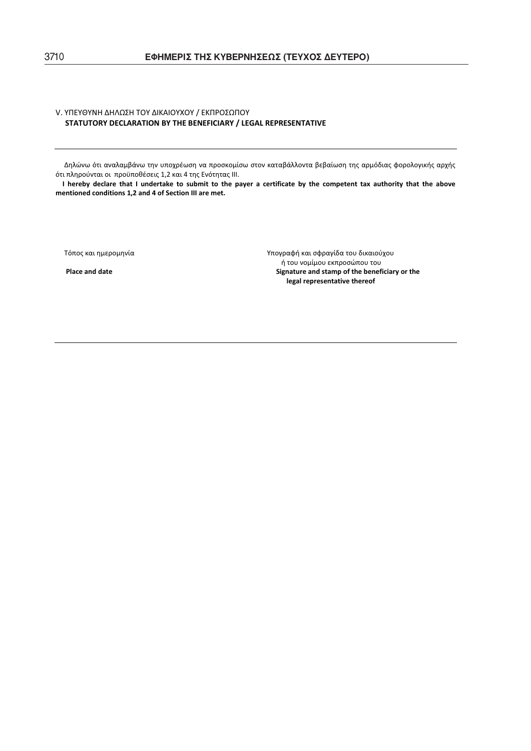### V. ΥΠΕΥΘΥΝΗ ΔΗΛΩΣΗ ΤΟΥ ΔΙΚΑΙΟΥΧΟΥ / ΕΚΠΡΟΣΩΠΟΥ **STATUTORY DECLARATIONȲɉTHE BENEFICIARY / LEGAL REPRESENTATIVE**

Δηλώνω ότι αναλαμβάνω την υποχρέωση να προσκομίσω στον καταβάλλοντα βεβαίωση της αρμόδιας φορολογικής αρχής ότι πληρούνται οι προϋποθέσεις 1,2 και 4 της Ενότητας ΙΙΙ.

I hereby declare that I undertake to submit to the payer a certificate by the competent tax authority that the above **mentioned conditions 1,2 and 4 of Section III are met.**

Τόπος και ημερομηνία στην στην προσφάθηση του καταστηματικού για την Υπογραφή και σφραγίδα του δικαιούχου ή του νομίμου εκπροσώπου του φαιρείται του και του φαιρείται του φαιρείται του φαιρείται του φαιρείται του φαι<br>Signature and stamp of the benef **Place and dateSignature and stamp of the beneficiary or the legal representative thereof**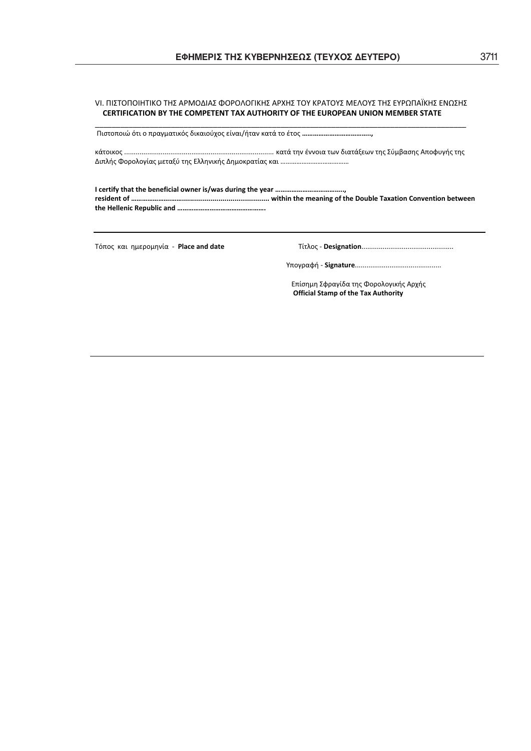## VI. ΠΙΣΤΟΠΟΙΗΤΙΚΟ ΤΗΣ ΑΡΜΟΔΙΑΣ ΦΟΡΟΛΟΓΙΚΗΣ ΑΡΧΗΣ ΤΟΥ ΚΡΑΤΟΥΣ ΜΕΛΟΥΣ ΤΗΣ ΕΥΡΩΠΑΪΚΗΣ ΕΝΩΣΗΣ **CERTIFICATION BY THE COMPETENT TAX AUTHORITY OF THE EUROPEAN UNION MEMBER STATE** \_\_\_\_\_\_\_\_\_\_\_\_\_\_\_\_\_\_\_\_\_\_\_\_\_\_\_\_\_\_\_\_\_\_\_\_\_\_\_\_\_\_\_\_\_\_\_\_\_\_\_\_\_\_\_\_\_\_\_\_\_\_\_\_\_\_\_\_\_\_\_\_\_\_\_\_\_\_\_\_\_\_\_\_\_\_\_\_

Ʌɿʍʏʉʋʉɿʙʊʏɿʉʋʌɲɶʅɲʏɿʃʊʎɷɿʃɲɿʉʑʖʉʎɸʀʆɲɿ/ɼʏɲʆʃɲʏɳʏʉɹʏʉʎ**………………………………..,**

ʃɳʏʉɿʃʉʎ..............................................................................ʃɲʏɳʏɻʆɹʆʆʉɿɲʏʘʆɷɿɲʏɳʇɸʘʆʏɻʎɇʑʅɴɲʍɻʎȰʋʉʔʐɶɼʎʏɻʎ ȴɿʋʄɼʎɌʉʌʉʄʉɶʀɲʎʅɸʏɲʇʑʏɻʎȵʄʄɻʆɿʃɼʎȴɻʅʉʃʌɲʏʀɲʎʃɲɿ…………………………………

**I certify that the beneficial owner is/was during the year ……………………………….., resident of ………………….……........................................... within the meaning of the Double Taxation Convention between the Hellenic Republic and ………………………………………….**

ɈʊʋʉʎʃɲɿɻʅɸʌʉʅɻʆʀɲͲ**Place and date**ɈʀʏʄʉʎͲ**Designation**................................................

ɉʋʉɶʌɲʔɼͲ**Signature**.............................................

Επίσημη Σφραγίδα της Φορολογικής Αρχής **Official Stamp of the Tax Authority**